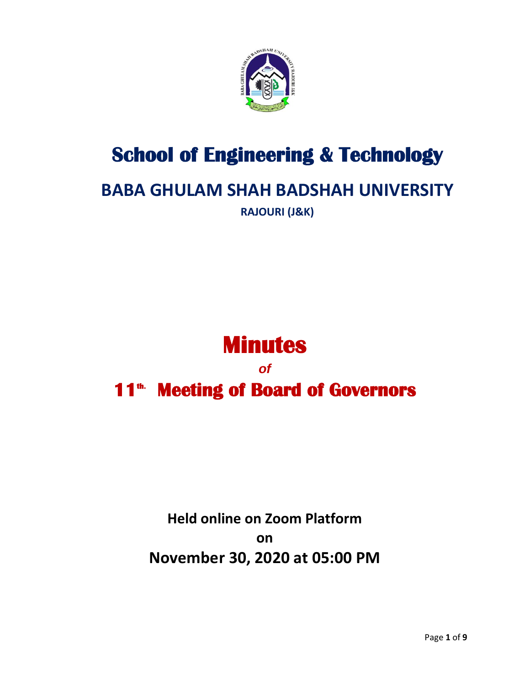

# **School of Engineering & Technology**

## **BABA GHULAM SHAH BADSHAH UNIVERSITY**

**RAJOURI (J&K)**

# **Minutes**

*of*  **11th. Meeting of Board of Governors** 

## **Held online on Zoom Platform on November 30, 2020 at 05:00 PM**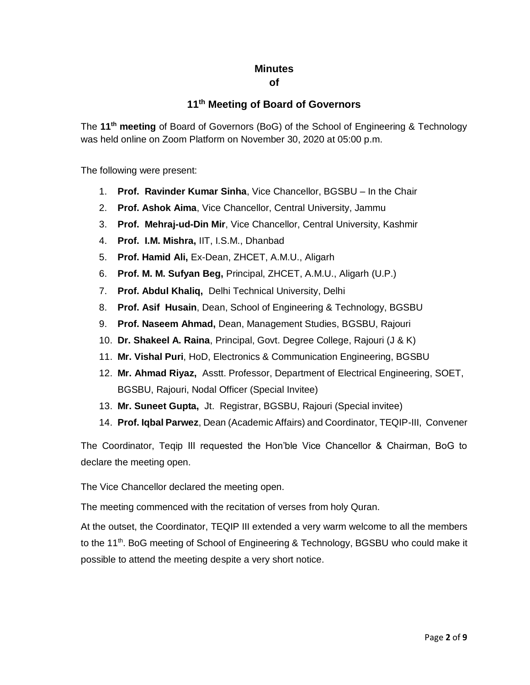#### **Minutes**

#### **of**

### **11th Meeting of Board of Governors**

The **11th meeting** of Board of Governors (BoG) of the School of Engineering & Technology was held online on Zoom Platform on November 30, 2020 at 05:00 p.m.

The following were present:

- 1. **Prof. Ravinder Kumar Sinha**, Vice Chancellor, BGSBU In the Chair
- 2. **Prof. Ashok Aima**, Vice Chancellor, Central University, Jammu
- 3. **Prof. Mehraj-ud-Din Mir**, Vice Chancellor, Central University, Kashmir
- 4. **Prof. I.M. Mishra,** IIT, I.S.M., Dhanbad
- 5. **Prof. Hamid Ali,** Ex-Dean, ZHCET, A.M.U., Aligarh
- 6. **Prof. M. M. Sufyan Beg,** Principal, ZHCET, A.M.U., Aligarh (U.P.)
- 7. **Prof. Abdul Khaliq,** Delhi Technical University, Delhi
- 8. **Prof. Asif Husain**, Dean, School of Engineering & Technology, BGSBU
- 9. **Prof. Naseem Ahmad,** Dean, Management Studies, BGSBU, Rajouri
- 10. **Dr. Shakeel A. Raina**, Principal, Govt. Degree College, Rajouri (J & K)
- 11. **Mr. Vishal Puri**, HoD, Electronics & Communication Engineering, BGSBU
- 12. **Mr. Ahmad Riyaz,** Asstt. Professor, Department of Electrical Engineering, SOET, BGSBU, Rajouri, Nodal Officer (Special Invitee)
- 13. **Mr. Suneet Gupta,** Jt. Registrar, BGSBU, Rajouri (Special invitee)
- 14. **Prof. Iqbal Parwez**, Dean (Academic Affairs) and Coordinator, TEQIP-III, Convener

The Coordinator, Teqip III requested the Hon'ble Vice Chancellor & Chairman, BoG to declare the meeting open.

The Vice Chancellor declared the meeting open.

The meeting commenced with the recitation of verses from holy Quran.

At the outset, the Coordinator, TEQIP III extended a very warm welcome to all the members to the 11<sup>th</sup>. BoG meeting of School of Engineering & Technology, BGSBU who could make it possible to attend the meeting despite a very short notice.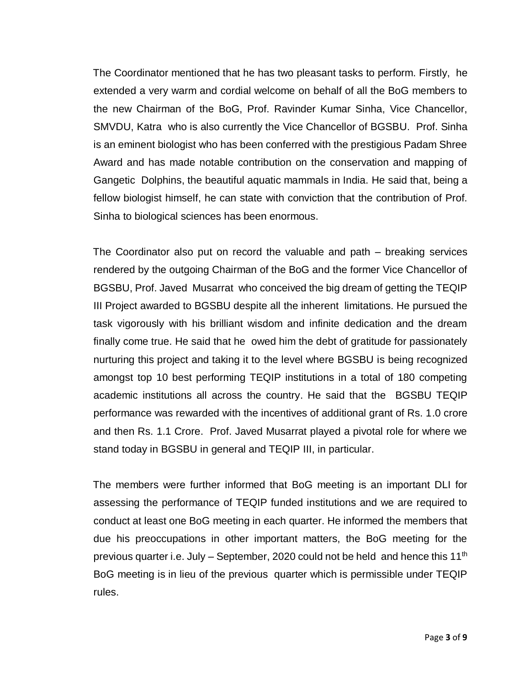The Coordinator mentioned that he has two pleasant tasks to perform. Firstly, he extended a very warm and cordial welcome on behalf of all the BoG members to the new Chairman of the BoG, Prof. Ravinder Kumar Sinha, Vice Chancellor, SMVDU, Katra who is also currently the Vice Chancellor of BGSBU. Prof. Sinha is an eminent biologist who has been conferred with the prestigious Padam Shree Award and has made notable contribution on the conservation and mapping of Gangetic Dolphins, the beautiful aquatic mammals in India. He said that, being a fellow biologist himself, he can state with conviction that the contribution of Prof. Sinha to biological sciences has been enormous.

The Coordinator also put on record the valuable and path – breaking services rendered by the outgoing Chairman of the BoG and the former Vice Chancellor of BGSBU, Prof. Javed Musarrat who conceived the big dream of getting the TEQIP III Project awarded to BGSBU despite all the inherent limitations. He pursued the task vigorously with his brilliant wisdom and infinite dedication and the dream finally come true. He said that he owed him the debt of gratitude for passionately nurturing this project and taking it to the level where BGSBU is being recognized amongst top 10 best performing TEQIP institutions in a total of 180 competing academic institutions all across the country. He said that the BGSBU TEQIP performance was rewarded with the incentives of additional grant of Rs. 1.0 crore and then Rs. 1.1 Crore. Prof. Javed Musarrat played a pivotal role for where we stand today in BGSBU in general and TEQIP III, in particular.

The members were further informed that BoG meeting is an important DLI for assessing the performance of TEQIP funded institutions and we are required to conduct at least one BoG meeting in each quarter. He informed the members that due his preoccupations in other important matters, the BoG meeting for the previous quarter i.e. July – September, 2020 could not be held and hence this 11<sup>th</sup> BoG meeting is in lieu of the previous quarter which is permissible under TEQIP rules.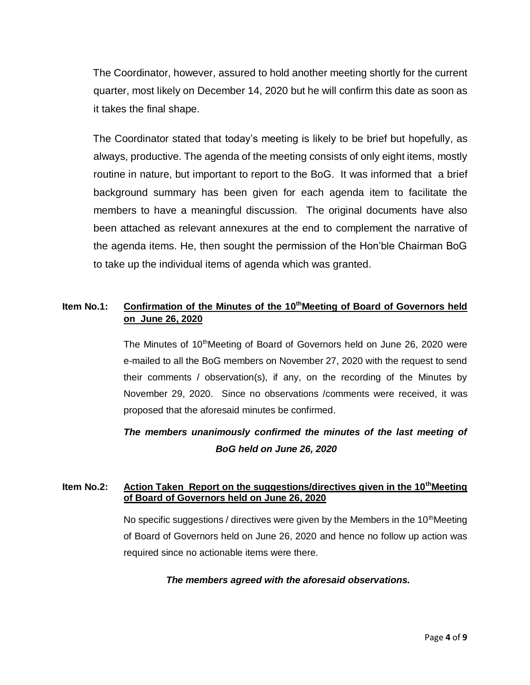The Coordinator, however, assured to hold another meeting shortly for the current quarter, most likely on December 14, 2020 but he will confirm this date as soon as it takes the final shape.

The Coordinator stated that today's meeting is likely to be brief but hopefully, as always, productive. The agenda of the meeting consists of only eight items, mostly routine in nature, but important to report to the BoG. It was informed that a brief background summary has been given for each agenda item to facilitate the members to have a meaningful discussion. The original documents have also been attached as relevant annexures at the end to complement the narrative of the agenda items. He, then sought the permission of the Hon'ble Chairman BoG to take up the individual items of agenda which was granted.

#### Item No.1: Confirmation of the Minutes of the 10<sup>th</sup>Meeting of Board of Governors held **on June 26, 2020**

The Minutes of 10<sup>th</sup>Meeting of Board of Governors held on June 26, 2020 were e-mailed to all the BoG members on November 27, 2020 with the request to send their comments / observation(s), if any, on the recording of the Minutes by November 29, 2020. Since no observations /comments were received, it was proposed that the aforesaid minutes be confirmed.

## *The members unanimously confirmed the minutes of the last meeting of BoG held on June 26, 2020*

#### **Item No.2: Action Taken Report on the suggestions/directives given in the 10thMeeting of Board of Governors held on June 26, 2020**

No specific suggestions / directives were given by the Members in the  $10<sup>th</sup>$ Meeting of Board of Governors held on June 26, 2020 and hence no follow up action was required since no actionable items were there.

#### *The members agreed with the aforesaid observations.*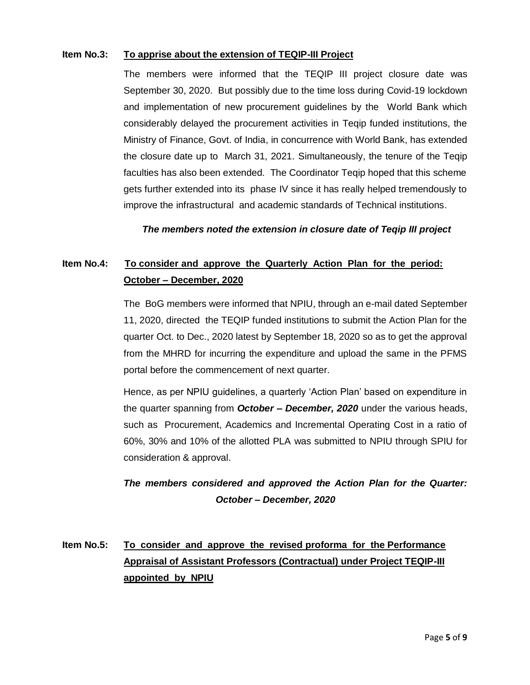#### **Item No.3: To apprise about the extension of TEQIP-III Project**

The members were informed that the TEQIP III project closure date was September 30, 2020. But possibly due to the time loss during Covid-19 lockdown and implementation of new procurement guidelines by the World Bank which considerably delayed the procurement activities in Teqip funded institutions, the Ministry of Finance, Govt. of India, in concurrence with World Bank, has extended the closure date up to March 31, 2021. Simultaneously, the tenure of the Teqip faculties has also been extended. The Coordinator Teqip hoped that this scheme gets further extended into its phase IV since it has really helped tremendously to improve the infrastructural and academic standards of Technical institutions.

 *The members noted the extension in closure date of Teqip III project*

## **Item No.4: To consider and approve the Quarterly Action Plan for the period: October – December, 2020**

The BoG members were informed that NPIU, through an e-mail dated September 11, 2020, directed the TEQIP funded institutions to submit the Action Plan for the quarter Oct. to Dec., 2020 latest by September 18, 2020 so as to get the approval from the MHRD for incurring the expenditure and upload the same in the PFMS portal before the commencement of next quarter.

Hence, as per NPIU guidelines, a quarterly 'Action Plan' based on expenditure in the quarter spanning from *October – December, 2020* under the various heads, such as Procurement, Academics and Incremental Operating Cost in a ratio of 60%, 30% and 10% of the allotted PLA was submitted to NPIU through SPIU for consideration & approval.

### *The members considered and approved the Action Plan for the Quarter: October – December, 2020*

## **Item No.5: To consider and approve the revised proforma for the Performance Appraisal of Assistant Professors (Contractual) under Project TEQIP-III appointed by NPIU**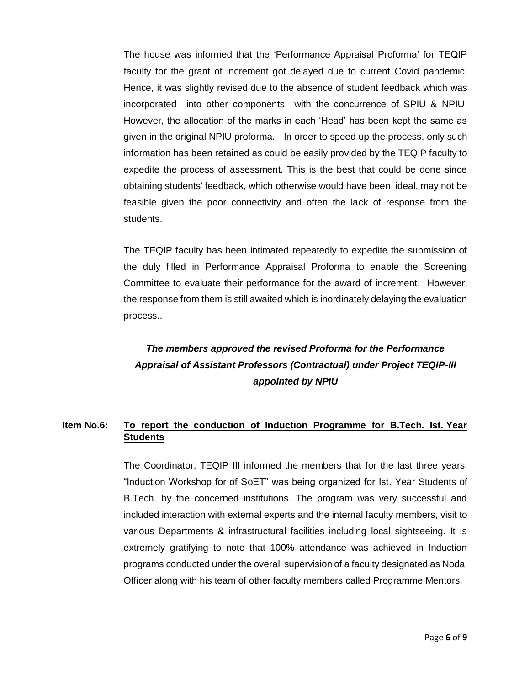The house was informed that the 'Performance Appraisal Proforma' for TEQIP faculty for the grant of increment got delayed due to current Covid pandemic. Hence, it was slightly revised due to the absence of student feedback which was incorporated into other components with the concurrence of SPIU & NPIU. However, the allocation of the marks in each 'Head' has been kept the same as given in the original NPIU proforma. In order to speed up the process, only such information has been retained as could be easily provided by the TEQIP faculty to expedite the process of assessment. This is the best that could be done since obtaining students' feedback, which otherwise would have been ideal, may not be feasible given the poor connectivity and often the lack of response from the students.

The TEQIP faculty has been intimated repeatedly to expedite the submission of the duly filled in Performance Appraisal Proforma to enable the Screening Committee to evaluate their performance for the award of increment. However, the response from them is still awaited which is inordinately delaying the evaluation process..

## *The members approved the revised Proforma for the Performance Appraisal of Assistant Professors (Contractual) under Project TEQIP-III appointed by NPIU*

#### **Item No.6: To report the conduction of Induction Programme for B.Tech. Ist. Year Students**

The Coordinator, TEQIP III informed the members that for the last three years, "Induction Workshop for of SoET" was being organized for Ist. Year Students of B.Tech. by the concerned institutions. The program was very successful and included interaction with external experts and the internal faculty members, visit to various Departments & infrastructural facilities including local sightseeing. It is extremely gratifying to note that 100% attendance was achieved in Induction programs conducted under the overall supervision of a faculty designated as Nodal Officer along with his team of other faculty members called Programme Mentors.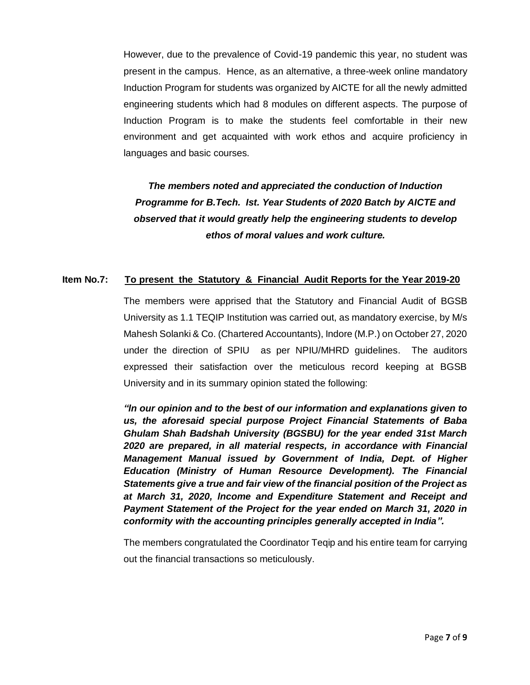However, due to the prevalence of Covid-19 pandemic this year, no student was present in the campus. Hence, as an alternative, a three-week online mandatory Induction Program for students was organized by AICTE for all the newly admitted engineering students which had 8 modules on different aspects. The purpose of Induction Program is to make the students feel comfortable in their new environment and get acquainted with work ethos and acquire proficiency in languages and basic courses.

## *The members noted and appreciated the conduction of Induction Programme for B.Tech. Ist. Year Students of 2020 Batch by AICTE and observed that it would greatly help the engineering students to develop ethos of moral values and work culture.*

#### **Item No.7: To present the Statutory & Financial Audit Reports for the Year 2019-20**

The members were apprised that the Statutory and Financial Audit of BGSB University as 1.1 TEQIP Institution was carried out, as mandatory exercise, by M/s Mahesh Solanki & Co. (Chartered Accountants), Indore (M.P.) on October 27, 2020 under the direction of SPIU as per NPIU/MHRD guidelines. The auditors expressed their satisfaction over the meticulous record keeping at BGSB University and in its summary opinion stated the following:

*"ln our opinion and to the best of our information and explanations given to us, the aforesaid special purpose Project Financial Statements of Baba Ghulam Shah Badshah University (BGSBU) for the year ended 31st March 2020 are prepared, in all material respects, in accordance with Financial Management Manual issued by Government of India, Dept. of Higher Education (Ministry of Human Resource Development). The Financial Statements give a true and fair view of the financial position of the Project as at March 31, 2020, lncome and Expenditure Statement and Receipt and Payment Statement of the Project for the year ended on March 31, 2020 in conformity with the accounting principles generally accepted in India".* 

The members congratulated the Coordinator Teqip and his entire team for carrying out the financial transactions so meticulously.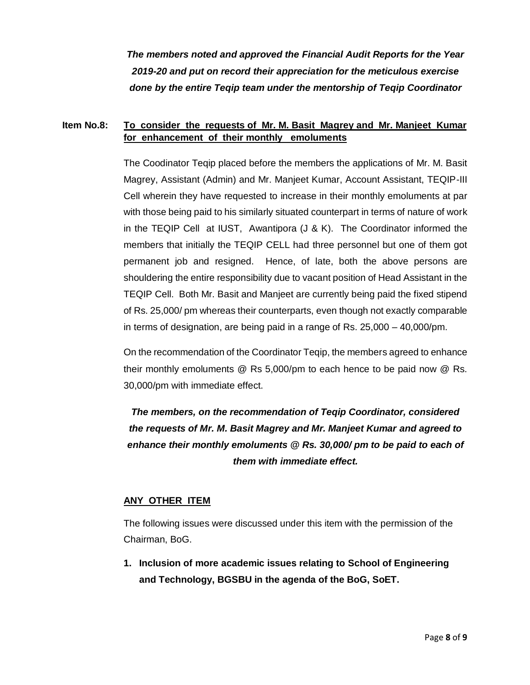*The members noted and approved the Financial Audit Reports for the Year 2019-20 and put on record their appreciation for the meticulous exercise done by the entire Teqip team under the mentorship of Teqip Coordinator*

#### **Item No.8: To consider the requests of Mr. M. Basit Magrey and Mr. Manjeet Kumar for enhancement of their monthly emoluments**

The Coodinator Teqip placed before the members the applications of Mr. M. Basit Magrey, Assistant (Admin) and Mr. Manjeet Kumar, Account Assistant, TEQIP-III Cell wherein they have requested to increase in their monthly emoluments at par with those being paid to his similarly situated counterpart in terms of nature of work in the TEQIP Cell at IUST, Awantipora (J & K). The Coordinator informed the members that initially the TEQIP CELL had three personnel but one of them got permanent job and resigned. Hence, of late, both the above persons are shouldering the entire responsibility due to vacant position of Head Assistant in the TEQIP Cell. Both Mr. Basit and Manjeet are currently being paid the fixed stipend of Rs. 25,000/ pm whereas their counterparts, even though not exactly comparable in terms of designation, are being paid in a range of Rs. 25,000 – 40,000/pm.

On the recommendation of the Coordinator Teqip, the members agreed to enhance their monthly emoluments @ Rs 5,000/pm to each hence to be paid now @ Rs. 30,000/pm with immediate effect.

*The members, on the recommendation of Teqip Coordinator, considered the requests of Mr. M. Basit Magrey and Mr. Manjeet Kumar and agreed to enhance their monthly emoluments @ Rs. 30,000/ pm to be paid to each of them with immediate effect.*

#### **ANY OTHER ITEM**

The following issues were discussed under this item with the permission of the Chairman, BoG.

**1. Inclusion of more academic issues relating to School of Engineering and Technology, BGSBU in the agenda of the BoG, SoET.**